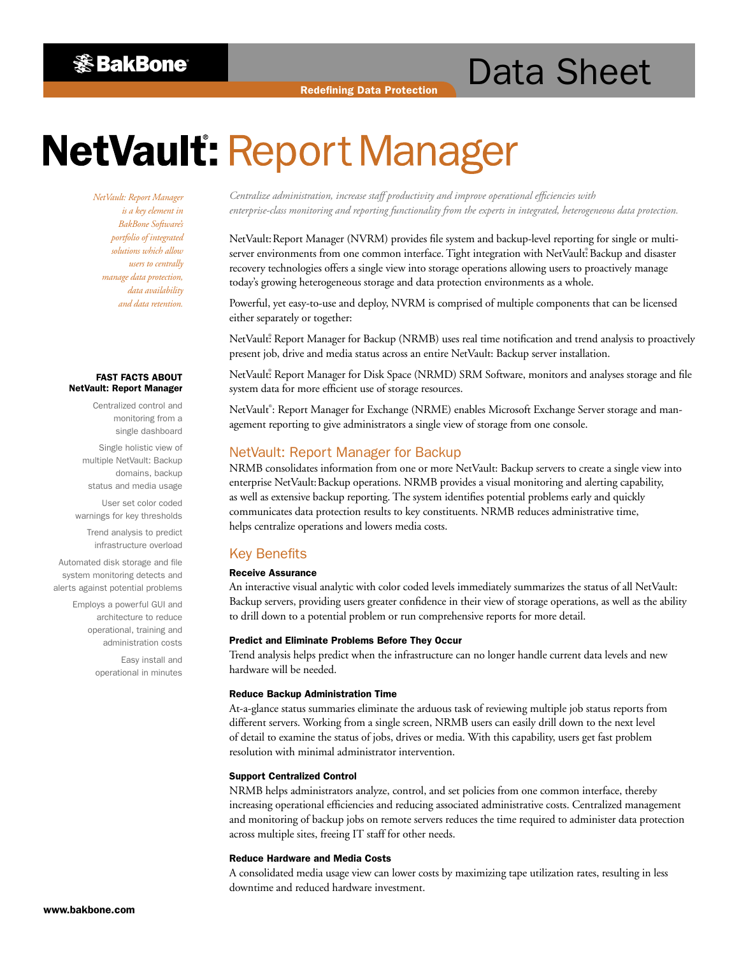**※BakBone** 

# Data Sheet

# **NetVault: Report Manager**

*NetVault: Report Manager is a key element in BakBone Software's portfolio of integrated solutions which allow users to centrally manage data protection, data availability and data retention.*

#### FAST FACTS ABOUT NetVault: Report Manager

Centralized control and monitoring from a single dashboard

Single holistic view of multiple NetVault: Backup domains, backup status and media usage

User set color coded warnings for key thresholds

Trend analysis to predict infrastructure overload

Automated disk storage and file system monitoring detects and alerts against potential problems

> Employs a powerful GUI and architecture to reduce operational, training and administration costs

> > Easy install and operational in minutes

*Centralize administration, increase staff productivity and improve operational efficiencies with enterprise-class monitoring and reporting functionality from the experts in integrated, heterogeneous data protection.*

NetVault: Report Manager (NVRM) provides file system and backup-level reporting for single or multiserver environments from one common interface. Tight integration with NetVault: Backup and disaster recovery technologies offers a single view into storage operations allowing users to proactively manage today's growing heterogeneous storage and data protection environments as a whole.

Powerful, yet easy-to-use and deploy, NVRM is comprised of multiple components that can be licensed either separately or together:

NetVault: Report Manager for Backup (NRMB) uses real time notification and trend analysis to proactively present job, drive and media status across an entire NetVault: Backup server installation.

NetVault: Report Manager for Disk Space (NRMD) SRM Software, monitors and analyses storage and file system data for more efficient use of storage resources.

NetVault®: Report Manager for Exchange (NRME) enables Microsoft Exchange Server storage and management reporting to give administrators a single view of storage from one console.

# NetVault: Report Manager for Backup

NRMB consolidates information from one or more NetVault: Backup servers to create a single view into enterprise NetVault: Backup operations. NRMB provides a visual monitoring and alerting capability, as well as extensive backup reporting. The system identifies potential problems early and quickly communicates data protection results to key constituents. NRMB reduces administrative time, helps centralize operations and lowers media costs.

# Key Benefits

# Receive Assurance

An interactive visual analytic with color coded levels immediately summarizes the status of all NetVault: Backup servers, providing users greater confidence in their view of storage operations, as well as the ability to drill down to a potential problem or run comprehensive reports for more detail.

#### Predict and Eliminate Problems Before They Occur

Trend analysis helps predict when the infrastructure can no longer handle current data levels and new hardware will be needed.

#### Reduce Backup Administration Time

At-a-glance status summaries eliminate the arduous task of reviewing multiple job status reports from different servers. Working from a single screen, NRMB users can easily drill down to the next level of detail to examine the status of jobs, drives or media. With this capability, users get fast problem resolution with minimal administrator intervention.

#### Support Centralized Control

NRMB helps administrators analyze, control, and set policies from one common interface, thereby increasing operational efficiencies and reducing associated administrative costs. Centralized management and monitoring of backup jobs on remote servers reduces the time required to administer data protection across multiple sites, freeing IT staff for other needs.

# Reduce Hardware and Media Costs

A consolidated media usage view can lower costs by maximizing tape utilization rates, resulting in less downtime and reduced hardware investment.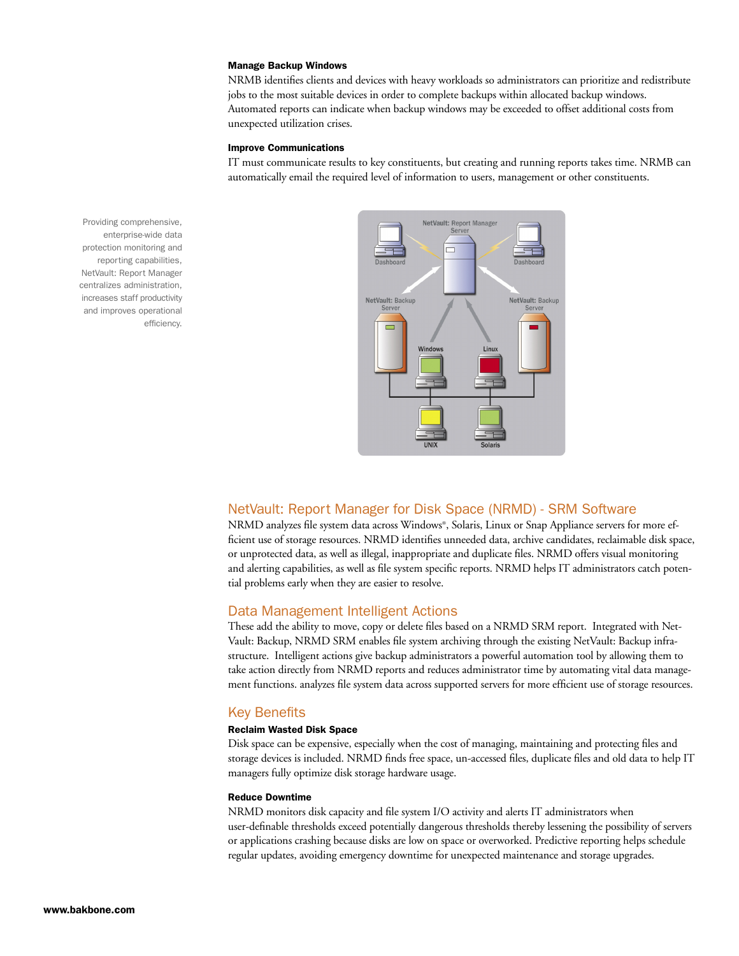#### Manage Backup Windows

NRMB identifies clients and devices with heavy workloads so administrators can prioritize and redistribute jobs to the most suitable devices in order to complete backups within allocated backup windows. Automated reports can indicate when backup windows may be exceeded to offset additional costs from unexpected utilization crises.

#### Improve Communications

IT must communicate results to key constituents, but creating and running reports takes time. NRMB can automatically email the required level of information to users, management or other constituents.



enterprise-wide data protection monitoring and reporting capabilities, NetVault: Report Manager centralizes administration, increases staff productivity and improves operational efficiency.

Providing comprehensive,

# NetVault: Report Manager for Disk Space (NRMD) - SRM Software

NRMD analyzes file system data across Windows®, Solaris, Linux or Snap Appliance servers for more efficient use of storage resources. NRMD identifies unneeded data, archive candidates, reclaimable disk space, or unprotected data, as well as illegal, inappropriate and duplicate files. NRMD offers visual monitoring and alerting capabilities, as well as file system specific reports. NRMD helps IT administrators catch potential problems early when they are easier to resolve.

# Data Management Intelligent Actions

These add the ability to move, copy or delete files based on a NRMD SRM report. Integrated with Net-Vault: Backup, NRMD SRM enables file system archiving through the existing NetVault: Backup infrastructure. Intelligent actions give backup administrators a powerful automation tool by allowing them to take action directly from NRMD reports and reduces administrator time by automating vital data management functions. analyzes file system data across supported servers for more efficient use of storage resources.

# Key Benefits

# Reclaim Wasted Disk Space

Disk space can be expensive, especially when the cost of managing, maintaining and protecting files and storage devices is included. NRMD finds free space, un-accessed files, duplicate files and old data to help IT managers fully optimize disk storage hardware usage.

# Reduce Downtime

NRMD monitors disk capacity and file system I/O activity and alerts IT administrators when user-definable thresholds exceed potentially dangerous thresholds thereby lessening the possibility of servers or applications crashing because disks are low on space or overworked. Predictive reporting helps schedule regular updates, avoiding emergency downtime for unexpected maintenance and storage upgrades.